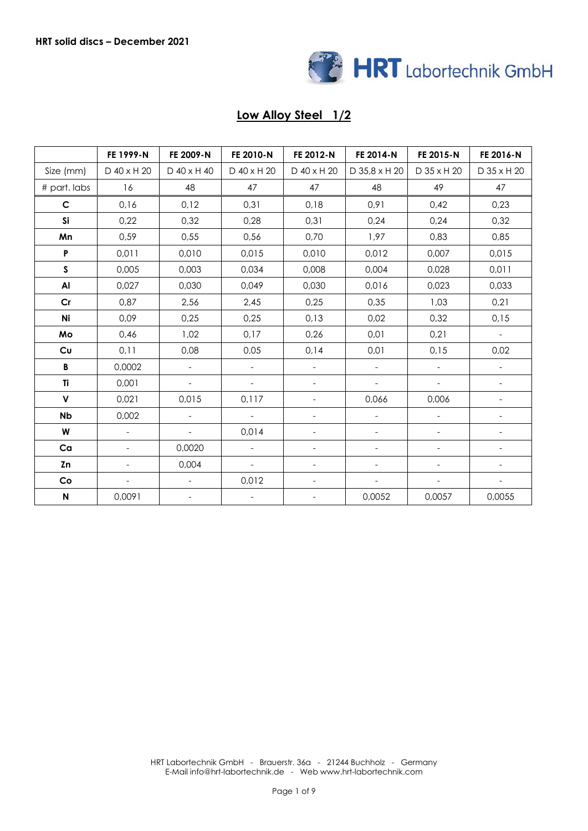

# **Low Alloy Steel 1/2**

|                    | FE 1999-N                | FE 2009-N                | FE 2010-N                | FE 2012-N                | FE 2014-N                | FE 2015-N                | FE 2016-N                |
|--------------------|--------------------------|--------------------------|--------------------------|--------------------------|--------------------------|--------------------------|--------------------------|
| Size (mm)          | D 40 x H 20              | D 40 x H 40              | D 40 x H 20              | D 40 x H 20              | D 35,8 x H 20            | D 35 x H 20              | D 35 x H 20              |
| # part. labs       | 16                       | 48                       | 47                       | 47                       | 48                       | 49                       | 47                       |
| $\mathsf{C}$       | 0,16                     | 0,12                     | 0,31                     | 0,18                     | 0,91                     | 0,42                     | 0,23                     |
| Si                 | 0,22                     | 0,32                     | 0,28                     | 0,31                     | 0,24                     | 0,24                     | 0,32                     |
| Mn                 | 0,59                     | 0,55                     | 0,56                     | 0,70                     | 1,97                     | 0,83                     | 0,85                     |
| $\pmb{\mathsf{P}}$ | 0,011                    | 0,010                    | 0,015                    | 0,010                    | 0,012                    | 0,007                    | 0,015                    |
| S                  | 0,005                    | 0,003                    | 0,034                    | 0,008                    | 0,004                    | 0,028                    | 0,011                    |
| Al                 | 0,027                    | 0,030                    | 0,049                    | 0,030                    | 0,016                    | 0,023                    | 0,033                    |
| Cr                 | 0,87                     | 2,56                     | 2,45                     | 0,25                     | 0,35                     | 1,03                     | 0,21                     |
| Ni                 | 0,09                     | 0,25                     | 0,25                     | 0,13                     | 0,02                     | 0,32                     | 0,15                     |
| Mo                 | 0,46                     | 1,02                     | 0,17                     | 0,26                     | 0,01                     | 0,21                     | $\overline{\phantom{a}}$ |
| Cu                 | 0,11                     | 0,08                     | 0,05                     | 0,14                     | 0,01                     | 0,15                     | 0,02                     |
| B                  | 0,0002                   | $\blacksquare$           | $\qquad \qquad -$        |                          | $\blacksquare$           | $\qquad \qquad -$        |                          |
| Ti                 | 0,001                    | $\overline{\phantom{a}}$ | $\overline{\phantom{a}}$ | $\overline{\phantom{a}}$ | $\overline{\phantom{0}}$ | $\overline{\phantom{0}}$ | $\overline{\phantom{a}}$ |
| $\pmb{\mathsf{V}}$ | 0,021                    | 0,015                    | 0,117                    | $\overline{\phantom{a}}$ | 0,066                    | 0,006                    | $\overline{\phantom{a}}$ |
| <b>Nb</b>          | 0,002                    | $\blacksquare$           | $\equiv$                 | $\blacksquare$           | $\overline{a}$           | $\overline{a}$           | $\equiv$                 |
| W                  | $\overline{\phantom{a}}$ | $\overline{\phantom{a}}$ | 0,014                    | $\overline{\phantom{a}}$ | $\overline{\phantom{a}}$ | $\overline{\phantom{0}}$ | $\overline{\phantom{a}}$ |
| Ca                 | $\overline{\phantom{a}}$ | 0,0020                   | $\blacksquare$           | $\overline{\phantom{a}}$ | $\overline{\phantom{a}}$ | $\overline{\phantom{a}}$ | $\overline{\phantom{a}}$ |
| Zn                 |                          | 0,004                    | $\blacksquare$           |                          | $\overline{\phantom{0}}$ | $\overline{\phantom{0}}$ |                          |
| Co                 |                          |                          | 0,012                    |                          |                          |                          |                          |
| $\mathsf{N}$       | 0,0091                   | $\overline{\phantom{a}}$ | $\qquad \qquad -$        | $\overline{\phantom{a}}$ | 0,0052                   | 0,0057                   | 0,0055                   |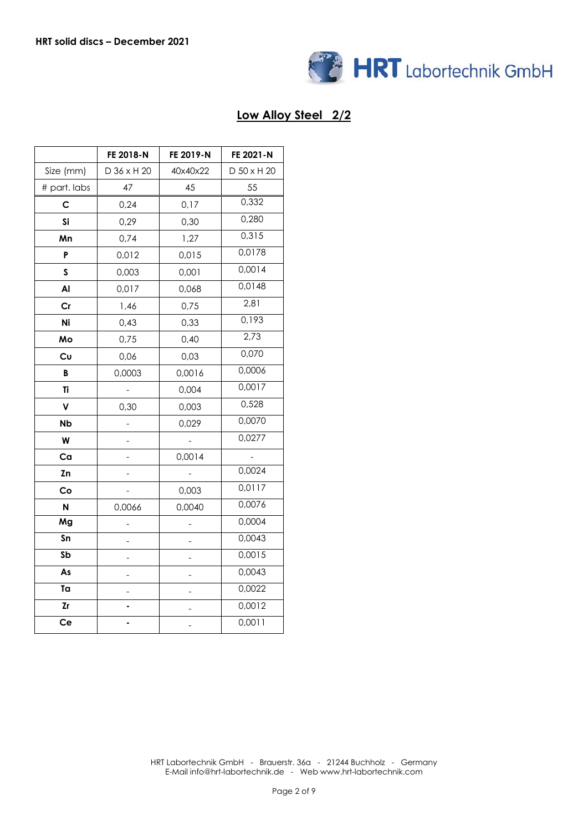

## **Low Alloy Steel 2/2**

|                         | FE 2018-N   | FE 2019-N | FE 2021-N   |  |
|-------------------------|-------------|-----------|-------------|--|
| Size (mm)               | D 36 x H 20 | 40x40x22  | D 50 x H 20 |  |
| # part. labs            | 47          | 45        | 55          |  |
| С                       | 0,24        | 0,17      | 0,332       |  |
| Si                      | 0,29        | 0,30      | 0,280       |  |
| Mn                      | 0,74        | 1,27      | 0,315       |  |
| P                       | 0,012       | 0,015     | 0,0178      |  |
| $\mathsf{s}$            | 0,003       | 0,001     | 0,0014      |  |
| Al                      | 0,017       | 0,068     | 0,0148      |  |
| Cr                      | 1,46        | 0,75      | 2,81        |  |
| Ni                      | 0,43        | 0,33      | 0,193       |  |
| Mo                      | 0,75        | 0,40      | 2,73        |  |
| Cυ                      | 0,06        | 0,03      | 0,070       |  |
| В                       | 0,0003      | 0,0016    | 0,0006      |  |
| Ti                      |             | 0,004     | 0,0017      |  |
| V                       | 0,30        | 0,003     | 0,528       |  |
| <b>Nb</b>               |             | 0,029     | 0,0070      |  |
| W                       |             |           | 0,0277      |  |
| Ca                      |             | 0,0014    |             |  |
| Zn                      |             |           | 0,0024      |  |
| Co                      |             | 0,003     | 0,0117      |  |
| N                       | 0,0066      | 0,0040    | 0,0076      |  |
| Mg                      |             |           | 0,0004      |  |
| Sn                      |             |           | 0,0043      |  |
| $\overline{\mathsf{S}}$ |             |           | 0,0015      |  |
| As                      |             |           | 0,0043      |  |
| Ta                      |             |           | 0,0022      |  |
| Zr                      |             |           | 0,0012      |  |
| Ce                      |             |           | 0,0011      |  |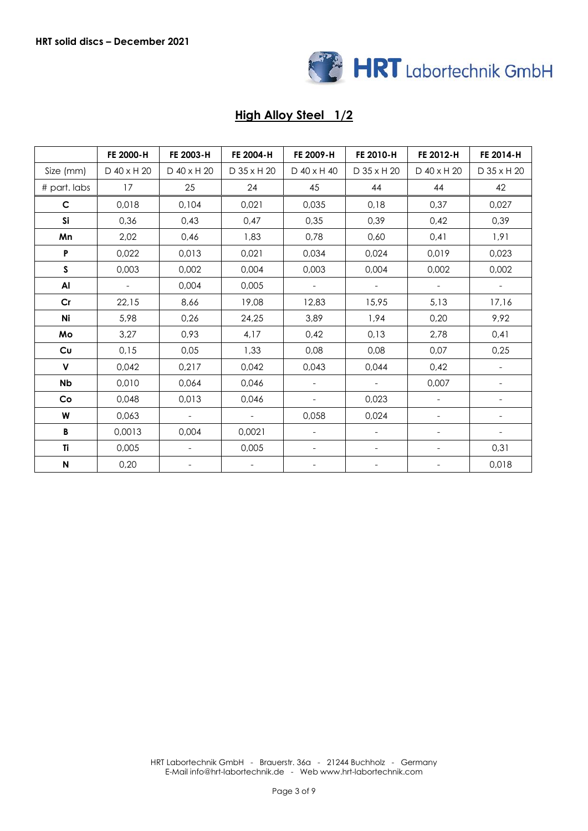

# **High Alloy Steel 1/2**

|                           | FE 2000-H   | FE 2003-H                | FE 2004-H                | FE 2009-H                | FE 2010-H                | FE 2012-H                | FE 2014-H                |
|---------------------------|-------------|--------------------------|--------------------------|--------------------------|--------------------------|--------------------------|--------------------------|
| Size (mm)                 | D 40 x H 20 | D 40 x H 20              | D 35 x H 20              | D 40 x H 40              | D 35 x H 20              | D 40 x H 20              | D 35 x H 20              |
| # part. labs              | 17          | 25                       | 24                       | 45                       | 44                       | 44                       | 42                       |
| $\mathsf{C}$              | 0,018       | 0,104                    | 0,021                    | 0,035                    | 0,18                     | 0,37                     | 0,027                    |
| Si                        | 0,36        | 0,43                     | 0,47                     | 0,35                     | 0,39                     | 0,42                     | 0,39                     |
| Mn                        | 2,02        | 0,46                     | 1,83                     | 0,78                     | 0,60                     | 0,41                     | 1,91                     |
| P                         | 0,022       | 0,013                    | 0,021                    | 0,034                    | 0,024                    | 0,019                    | 0,023                    |
| $\mathsf{s}$              | 0,003       | 0,002                    | 0,004                    | 0,003                    | 0,004                    | 0,002                    | 0,002                    |
| Al                        | $\sim$      | 0,004                    | 0,005                    | $\overline{\phantom{a}}$ | $\sim$                   | $\overline{\phantom{a}}$ | $\equiv$                 |
| Cr                        | 22,15       | 8,66                     | 19,08                    | 12,83                    | 15,95                    | 5,13                     | 17,16                    |
| Ni                        | 5,98        | 0,26                     | 24,25                    | 3,89                     | 1,94                     | 0,20                     | 9,92                     |
| Mo                        | 3,27        | 0,93                     | 4,17                     | 0,42                     | 0,13                     | 2,78                     | 0,41                     |
| <b>Cu</b>                 | 0,15        | 0,05                     | 1,33                     | 0,08                     | 0,08                     | 0,07                     | 0,25                     |
| $\mathsf{V}$              | 0,042       | 0,217                    | 0,042                    | 0,043                    | 0,044                    | 0,42                     | $\overline{\phantom{a}}$ |
| <b>Nb</b>                 | 0,010       | 0,064                    | 0,046                    | $\overline{\phantom{a}}$ | $\equiv$                 | 0,007                    |                          |
| Co                        | 0,048       | 0,013                    | 0,046                    | $\overline{\phantom{a}}$ | 0,023                    | $\overline{\phantom{a}}$ |                          |
| W                         | 0,063       | $\overline{\phantom{a}}$ | $\overline{\phantom{a}}$ | 0,058                    | 0,024                    | $\overline{\phantom{a}}$ | $\overline{\phantom{a}}$ |
| В                         | 0,0013      | 0,004                    | 0,0021                   | $\overline{\phantom{0}}$ | $\overline{\phantom{a}}$ | $\overline{\phantom{a}}$ |                          |
| Ti                        | 0,005       | $\overline{\phantom{a}}$ | 0,005                    | $\overline{\phantom{a}}$ | $\overline{\phantom{a}}$ | $\overline{\phantom{a}}$ | 0,31                     |
| $\boldsymbol{\mathsf{N}}$ | 0,20        | $\overline{\phantom{a}}$ | $\overline{\phantom{a}}$ | -                        | -                        | $\overline{\phantom{a}}$ | 0,018                    |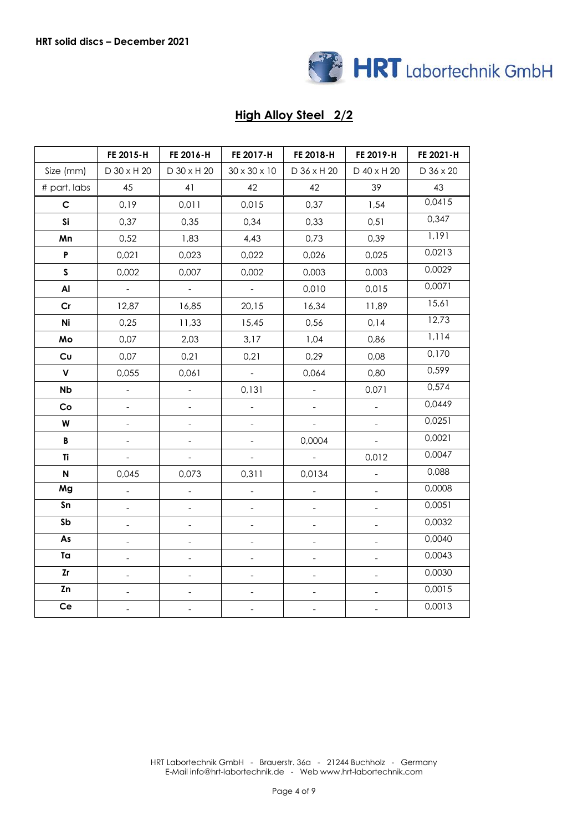

## **High Alloy Steel 2/2**

|                 | FE 2015-H                | FE 2016-H                | FE 2017-H                | FE 2018-H      | FE 2019-H                | FE 2021-H |
|-----------------|--------------------------|--------------------------|--------------------------|----------------|--------------------------|-----------|
| Size (mm)       | D 30 x H 20              | D 30 x H 20              | $30 \times 30 \times 10$ | D 36 x H 20    | D 40 x H 20              | D 36 x 20 |
| # part. labs    | 45                       | 41                       | 42                       | 42             | 39                       | 43        |
| $\mathsf{C}$    | 0,19                     | 0,011                    | 0,015                    | 0,37           | 1,54                     | 0,0415    |
| Si              | 0,37                     | 0,35                     | 0,34                     | 0,33           | 0,51                     | 0,347     |
| Mn              | 0,52                     | 1,83                     | 4,43                     | 0,73           | 0,39                     | 1,191     |
| $\mathsf P$     | 0,021                    | 0,023                    | 0,022                    | 0,026          | 0,025                    | 0,0213    |
| $\mathsf{s}$    | 0,002                    | 0,007                    | 0,002                    | 0,003          | 0,003                    | 0,0029    |
| AI              | $\mathbb{Z}^2$           | $\equiv$                 | $\mathbb{L}$             | 0,010          | 0,015                    | 0,0071    |
| Cr              | 12,87                    | 16,85                    | 20,15                    | 16,34          | 11,89                    | 15,61     |
| Ni              | 0,25                     | 11,33                    | 15,45                    | 0,56           | 0,14                     | 12,73     |
| Mo              | 0,07                     | 2,03                     | 3,17                     | 1,04           | 0,86                     | 1,114     |
| Cu              | 0,07                     | 0,21                     | 0,21                     | 0,29           | 0,08                     | 0,170     |
| $\mathsf{v}$    | 0,055                    | 0,061                    | $\bar{\mathcal{L}}$      | 0,064          | 0,80                     | 0,599     |
| Nb              | $\qquad \qquad -$        | ÷                        | 0,131                    |                | 0,071                    | 0,574     |
| Co              | $\blacksquare$           | $\overline{\phantom{a}}$ | $\blacksquare$           | $\frac{1}{2}$  | $\equiv$                 | 0,0449    |
| W               |                          | $\qquad \qquad -$        | $\overline{\phantom{0}}$ |                |                          | 0,0251    |
| $\, {\bf B} \,$ | $\frac{1}{2}$            | $\overline{\phantom{a}}$ | $\overline{\phantom{a}}$ | 0,0004         | $\bar{\phantom{a}}$      | 0,0021    |
| Ti              | $\overline{\phantom{a}}$ | $\overline{\phantom{a}}$ | $\overline{\phantom{a}}$ | $\frac{1}{2}$  | 0,012                    | 0,0047    |
| $\mathsf{N}$    | 0,045                    | 0,073                    | 0,311                    | 0,0134         | $\blacksquare$           | 0,088     |
| Mg              | $\overline{a}$           | $\overline{\phantom{a}}$ | $\frac{1}{2}$            |                | $\overline{\phantom{a}}$ | 0,0008    |
| Sn              | $\overline{\phantom{0}}$ | $\qquad \qquad -$        | $\qquad \qquad -$        |                | ÷                        | 0,0051    |
| Sb              | $\overline{\phantom{0}}$ | $\overline{\phantom{0}}$ | $\qquad \qquad -$        |                | $\qquad \qquad -$        | 0,0032    |
| As              |                          | $\qquad \qquad -$        | $\qquad \qquad -$        |                | $\qquad \qquad -$        | 0,0040    |
| Ta              |                          | $\qquad \qquad -$        | $\overline{\phantom{a}}$ |                | $\qquad \qquad -$        | 0,0043    |
| Zr              |                          | $\overline{a}$           | $\qquad \qquad -$        |                |                          | 0,0030    |
| Zn              | $\overline{a}$           | $\qquad \qquad -$        | $\qquad \qquad -$        | $\overline{a}$ | $\blacksquare$           | 0,0015    |
| Ce              |                          | $\overline{a}$           | $\qquad \qquad -$        |                | $\overline{a}$           | 0,0013    |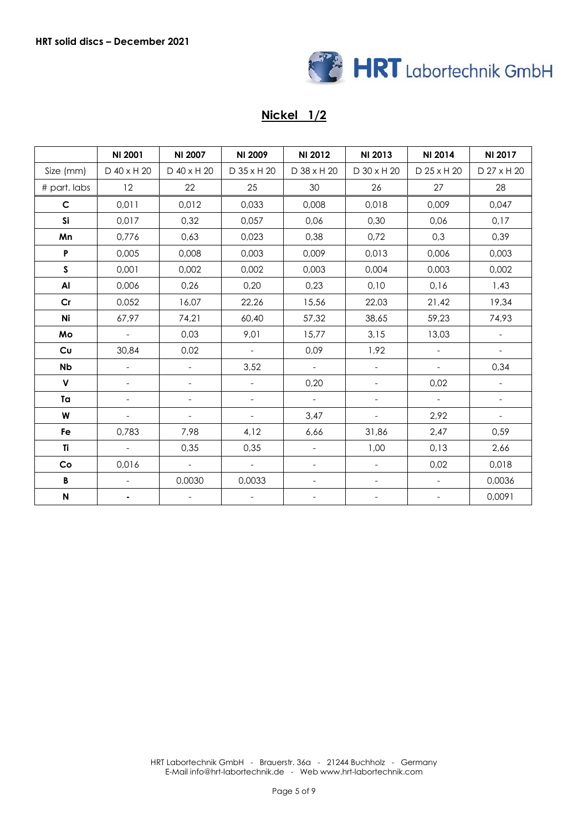

### **Nickel 1/2**

|              | <b>NI 2001</b>           | <b>NI 2007</b>           | <b>NI 2009</b>           | NI 2012                  | NI 2013                  | NI 2014                  | NI 2017                  |
|--------------|--------------------------|--------------------------|--------------------------|--------------------------|--------------------------|--------------------------|--------------------------|
| Size (mm)    | D 40 x H 20              | D 40 x H 20              | D 35 x H 20              | D 38 x H 20              | D 30 x H 20              | D 25 x H 20              | D 27 x H 20              |
| # part. labs | 12                       | 22                       | 25                       | 30                       | 26                       | 27                       | 28                       |
| $\mathsf{C}$ | 0,011                    | 0,012                    | 0,033                    | 0,008                    | 0,018                    | 0,009                    | 0,047                    |
| Si           | 0,017                    | 0,32                     | 0,057                    | 0,06                     | 0,30                     | 0,06                     | 0,17                     |
| Mn           | 0,776                    | 0,63                     | 0,023                    | 0,38                     | 0,72                     | 0,3                      | 0,39                     |
| P            | 0,005                    | 0,008                    | 0,003                    | 0,009                    | 0,013                    | 0,006                    | 0,003                    |
| S            | 0,001                    | 0,002                    | 0,002                    | 0,003                    | 0,004                    | 0,003                    | 0,002                    |
| Al           | 0,006                    | 0,26                     | 0,20                     | 0,23                     | 0,10                     | 0,16                     | 1,43                     |
| Cr           | 0,052                    | 16,07                    | 22,26                    | 15,56                    | 22,03                    | 21,42                    | 19,34                    |
| Ni           | 67,97                    | 74,21                    | 60,40                    | 57,32                    | 38,65                    | 59,23                    | 74,93                    |
| Mo           | $\blacksquare$           | 0,03                     | 9,01                     | 15,77                    | 3,15                     | 13,03                    |                          |
| Cu           | 30,84                    | 0,02                     | $\overline{\phantom{a}}$ | 0,09                     | 1,92                     | $\overline{\phantom{a}}$ | $\Box$                   |
| <b>Nb</b>    | $\overline{\phantom{a}}$ | $\mathbf{r}$             | 3,52                     | $\equiv$                 | $\equiv$                 | $\qquad \qquad -$        | 0,34                     |
| $\mathsf{V}$ |                          | $\overline{\phantom{a}}$ | $\overline{\phantom{a}}$ | 0,20                     | $\overline{\phantom{a}}$ | 0,02                     |                          |
| Ta           |                          | $\overline{\phantom{a}}$ | $\overline{\phantom{a}}$ | $\equiv$                 | $\overline{\phantom{a}}$ | $\overline{\phantom{a}}$ | $\overline{\phantom{a}}$ |
| W            | $\overline{\phantom{a}}$ | $\overline{\phantom{a}}$ | $\overline{\phantom{0}}$ | 3,47                     | $\overline{\phantom{a}}$ | 2,92                     | $\overline{\phantom{a}}$ |
| Fe           | 0,783                    | 7,98                     | 4,12                     | 6,66                     | 31,86                    | 2,47                     | 0,59                     |
| Ti           | $\equiv$                 | 0,35                     | 0,35                     | $\overline{\phantom{a}}$ | 1,00                     | 0,13                     | 2,66                     |
| Co           | 0,016                    | $\equiv$                 | $\equiv$                 |                          | $\overline{\phantom{a}}$ | 0,02                     | 0,018                    |
| B            |                          | 0,0030                   | 0,0033                   |                          | $\overline{\phantom{a}}$ | $\overline{\phantom{0}}$ | 0,0036                   |
| ${\sf N}$    |                          | $\overline{\phantom{a}}$ | $\overline{\phantom{a}}$ |                          | $\overline{\phantom{a}}$ | $\overline{\phantom{0}}$ | 0,0091                   |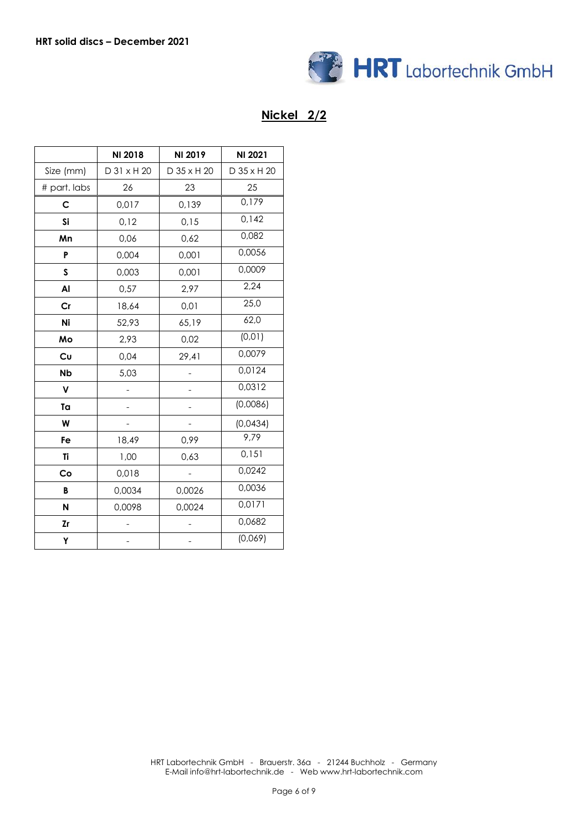

### **Nickel 2/2**

|              | NI 2018     | NI 2019     | NI 2021     |
|--------------|-------------|-------------|-------------|
| Size (mm)    | D 31 x H 20 | D 35 x H 20 | D 35 x H 20 |
| # part. labs | 26          | 23          | 25          |
| С            | 0,017       | 0,139       | 0,179       |
| Si           | 0,12        | 0,15        | 0,142       |
| Mn           | 0,06        | 0,62        | 0,082       |
| P            | 0,004       | 0,001       | 0,0056      |
| S            | 0,003       | 0,001       | 0,0009      |
| Al           | 0,57        | 2,97        | 2,24        |
| Cr           | 18,64       | 0,01        | 25,0        |
| Ni           | 52,93       | 65,19       | 62,0        |
| Mo           | 2,93        | 0,02        | (0, 01)     |
| Cu           | 0,04        | 29,41       | 0,0079      |
| <b>Nb</b>    | 5,03        |             | 0,0124      |
| $\mathsf{v}$ |             |             | 0,0312      |
| Ta           |             |             | (0,0086)    |
| W            |             |             | (0,0434)    |
| Fe           | 18,49       | 0,99        | 9,79        |
| Ti           | 1,00        | 0,63        | 0,151       |
| Co           | 0,018       |             | 0,0242      |
| B            | 0,0034      | 0,0026      | 0,0036      |
| N            | 0,0098      | 0,0024      | 0,0171      |
| Zr           |             |             | 0,0682      |
| Υ            |             |             | (0,069)     |

HRT Labortechnik GmbH - Brauerstr. 36a - 21244 Buchholz - Germany E-Mail info@hrt-labortechnik.de - Web www.hrt-labortechnik.com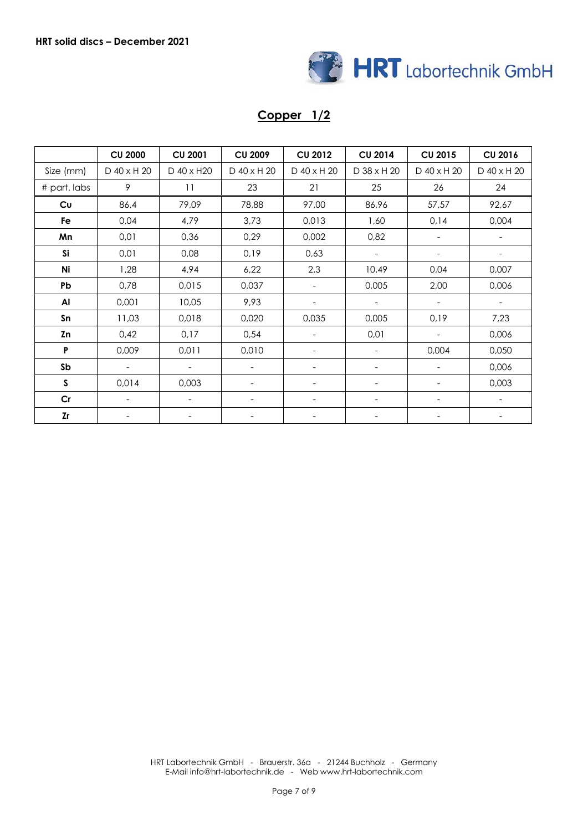

#### **Copper 1/2**

|              | <b>CU 2000</b>           | <b>CU 2001</b>           | <b>CU 2009</b>           | <b>CU 2012</b>           | <b>CU 2014</b>               | <b>CU 2015</b>           | <b>CU 2016</b>           |
|--------------|--------------------------|--------------------------|--------------------------|--------------------------|------------------------------|--------------------------|--------------------------|
| Size (mm)    | D 40 x H 20              | D 40 x H20               | D 40 x H 20              | D 40 x H 20              | D 38 x H 20                  | D 40 x H 20              | D 40 x H 20              |
| # part. labs | 9                        | 11                       | 23                       | 21                       | 25                           | 26                       | 24                       |
| Cu           | 86,4                     | 79,09                    | 78,88                    | 97,00                    | 86,96                        | 57,57                    | 92,67                    |
| Fe           | 0,04                     | 4,79                     | 3,73                     | 0,013                    | 1,60                         | 0,14                     | 0,004                    |
| Mn           | 0,01                     | 0,36                     | 0,29                     | 0,002                    | 0,82                         | $\overline{\phantom{a}}$ | $\overline{\phantom{a}}$ |
| Si           | 0,01                     | 0,08                     | 0,19                     | 0,63                     | $\overline{\phantom{a}}$     | $\overline{\phantom{a}}$ | $\overline{\phantom{a}}$ |
| Ni           | 1,28                     | 4,94                     | 6,22                     | 2,3                      | 10,49                        | 0,04                     | 0,007                    |
| Pb           | 0,78                     | 0,015                    | 0,037                    |                          | 0,005                        | 2,00                     | 0,006                    |
| Al           | 0,001                    | 10,05                    | 9,93                     | -                        | $\overline{\phantom{a}}$     | $\overline{\phantom{a}}$ | $\overline{\phantom{a}}$ |
| Sn           | 11,03                    | 0,018                    | 0,020                    | 0,035                    | 0,005                        | 0,19                     | 7,23                     |
| Zn           | 0,42                     | 0,17                     | 0,54                     | $\overline{\phantom{a}}$ | 0,01                         | $\overline{\phantom{a}}$ | 0,006                    |
| P            | 0,009                    | 0,011                    | 0,010                    |                          | $\overline{\phantom{a}}$     | 0,004                    | 0,050                    |
| Sb           | $\overline{\phantom{a}}$ | $\overline{\phantom{a}}$ | $\overline{\phantom{a}}$ |                          | $\overline{\phantom{a}}$     |                          | 0,006                    |
| S            | 0,014                    | 0,003                    | $\overline{\phantom{a}}$ |                          | $\qquad \qquad \blacksquare$ | -                        | 0,003                    |
| Cr           |                          | $\overline{\phantom{a}}$ | $\overline{\phantom{a}}$ |                          | ۰                            | $\overline{\phantom{0}}$ | $\overline{\phantom{a}}$ |
| <b>Zr</b>    | -                        | $\overline{\phantom{a}}$ | $\overline{\phantom{a}}$ |                          | ٠                            | $\overline{\phantom{0}}$ | -                        |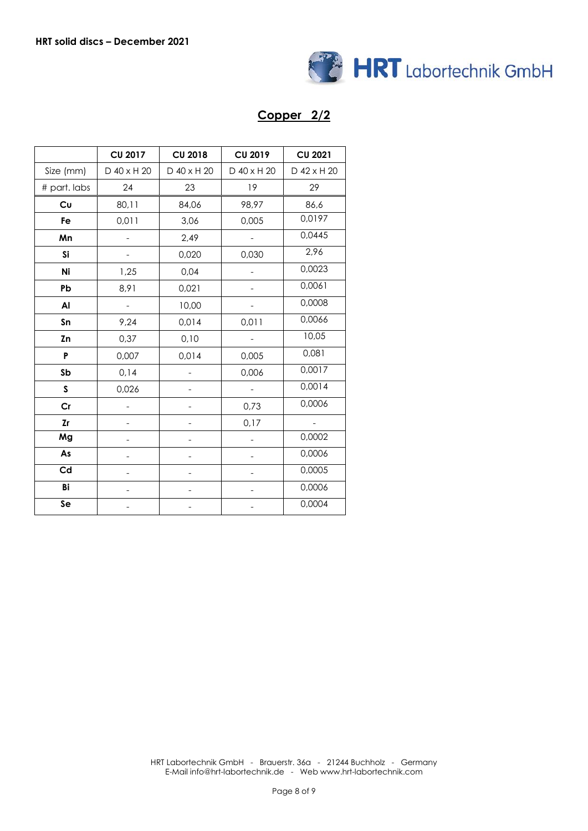

#### **Copper 2/2**

|               | <b>CU 2017</b>           | <b>CU 2018</b> | <b>CU 2019</b> | <b>CU 2021</b> |
|---------------|--------------------------|----------------|----------------|----------------|
| Size (mm)     | D 40 x H 20              | D 40 x H 20    | D 40 x H 20    | D 42 x H 20    |
| # part. labs  | 24                       | 23             | 19             | 29             |
| Cu            | 80,11                    | 84,06          | 98,97          | 86,6           |
| Fe            | 0,011                    | 3,06           | 0,005          | 0,0197         |
| Mn            | $\overline{\phantom{0}}$ | 2,49           |                | 0,0445         |
| Si            |                          | 0,020          | 0,030          | 2,96           |
| Ni            | 1,25                     | 0,04           |                | 0,0023         |
| Pb            | 8,91                     | 0,021          |                | 0,0061         |
| Al            | $\overline{\phantom{a}}$ | 10,00          |                | 0,0008         |
| Sn            | 9,24                     | 0,014          | 0,011          | 0,0066         |
| Zn            | 0,37                     | 0,10           |                | 10,05          |
| P             | 0,007                    | 0,014          | 0,005          | 0,081          |
| Sb            | 0,14                     |                | 0,006          | 0,0017         |
| S             | 0,026                    |                |                | 0,0014         |
| $\mathsf{Cr}$ |                          |                | 0,73           | 0,0006         |
| <b>Zr</b>     |                          |                | 0,17           |                |
| Mg            |                          |                |                | 0,0002         |
| As            |                          |                |                | 0,0006         |
| Cd            |                          |                |                | 0,0005         |
| Bi            |                          |                |                | 0,0006         |
| Se            |                          |                |                | 0,0004         |